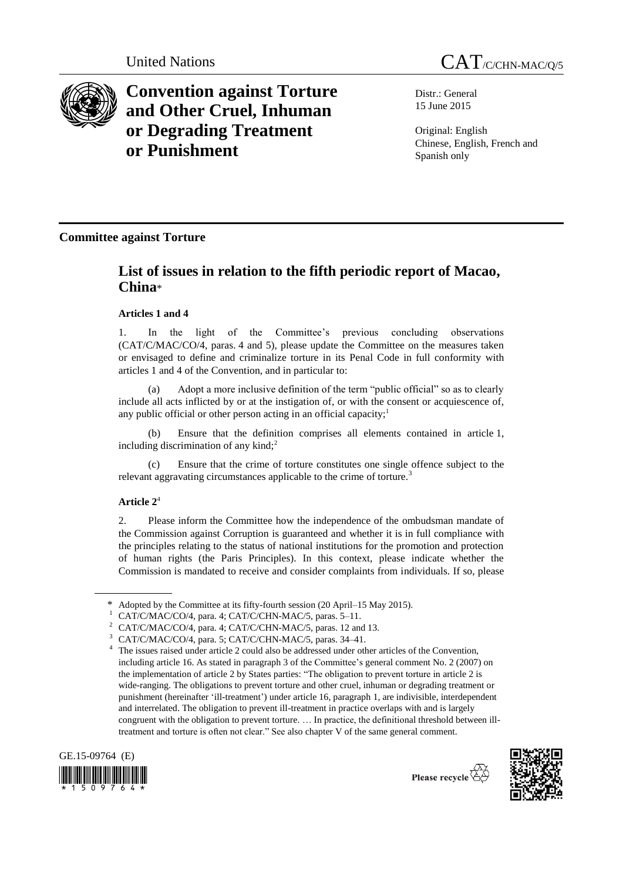



**Convention against Torture and Other Cruel, Inhuman or Degrading Treatment or Punishment**

Distr.: General 15 June 2015

Original: English Chinese, English, French and Spanish only

## **Committee against Torture**

# **List of issues in relation to the fifth periodic report of Macao, China**\*

### **Articles 1 and 4**

1. In the light of the Committee's previous concluding observations [\(CAT/C/MAC/CO/4](http://daccess-dds-ny.un.org/doc/UNDOC/GEN/G08/428/16/PDF/G0842816.pdf?OpenElement), paras. 4 and 5), please update the Committee on the measures taken or envisaged to define and criminalize torture in its Penal Code in full conformity with articles 1 and 4 of the Convention, and in particular to:

(a) Adopt a more inclusive definition of the term "public official" so as to clearly include all acts inflicted by or at the instigation of, or with the consent or acquiescence of, any public official or other person acting in an official capacity;<sup>1</sup>

(b) Ensure that the definition comprises all elements contained in article 1, including discrimination of any kind; $<sup>2</sup>$ </sup>

Ensure that the crime of torture constitutes one single offence subject to the relevant aggravating circumstances applicable to the crime of torture.<sup>3</sup>

### **Article 2** 4

2. Please inform the Committee how the independence of the ombudsman mandate of the Commission against Corruption is guaranteed and whether it is in full compliance with the principles relating to the status of national institutions for the promotion and protection of human rights (the Paris Principles). In this context, please indicate whether the Commission is mandated to receive and consider complaints from individuals. If so, please

<sup>4</sup> The issues raised under article 2 could also be addressed under other articles of the Convention, including article 16. As stated in paragraph 3 of the Committee's general comment No. 2 (2007) on the implementation of article 2 by States parties: "The obligation to prevent torture in article 2 is wide-ranging. The obligations to prevent torture and other cruel, inhuman or degrading treatment or punishment (hereinafter 'ill-treatment') under article 16, paragraph 1, are indivisible, interdependent and interrelated. The obligation to prevent ill-treatment in practice overlaps with and is largely congruent with the obligation to prevent torture. … In practice, the definitional threshold between illtreatment and torture is often not clear." See also chapter V of the same general comment.





Adopted by the Committee at its fifty-fourth session (20 April–15 May 2015).

CAT/C/MAC/CO/4, para. 4; CAT/C/CHN-MAC/5, paras. 5-11.

<sup>2</sup> CAT/C/MAC/CO/4, para. 4; CAT/C/CHN-MAC/5, paras. 12 and 13.

CAT/C/MAC/CO/4, para. 5; CAT/C/CHN-MAC/5, paras. 34-41.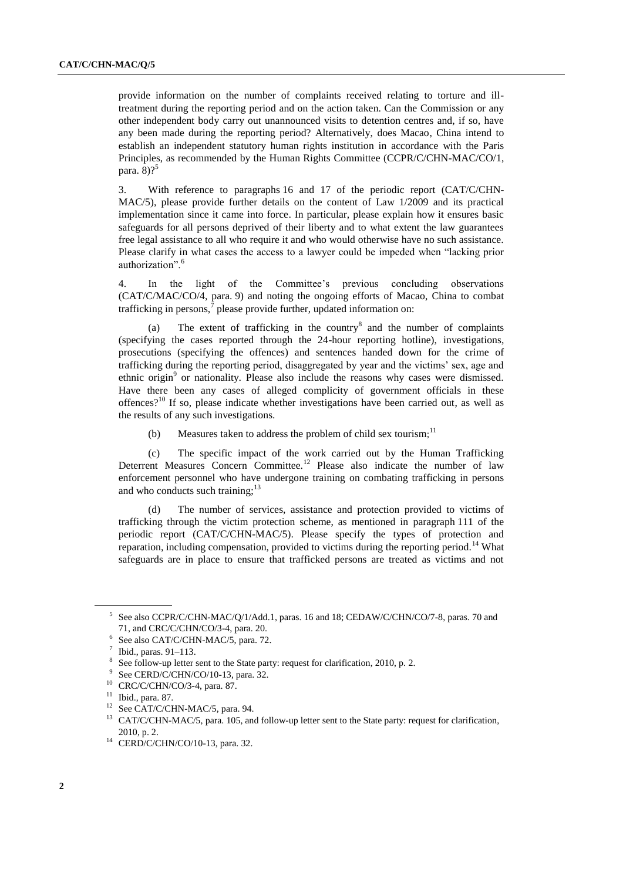provide information on the number of complaints received relating to torture and illtreatment during the reporting period and on the action taken. Can the Commission or any other independent body carry out unannounced visits to detention centres and, if so, have any been made during the reporting period? Alternatively, does Macao, China intend to establish an independent statutory human rights institution in accordance with the Paris Principles, as recommended by the Human Rights Committee (CCPR/C/CHN-MAC/CO/1, para.  $8$ )?<sup>5</sup>

3. With reference to paragraphs 16 and 17 of the periodic report (CAT/C/CHN-MAC/5), please provide further details on the content of Law 1/2009 and its practical implementation since it came into force. In particular, please explain how it ensures basic safeguards for all persons deprived of their liberty and to what extent the law guarantees free legal assistance to all who require it and who would otherwise have no such assistance. Please clarify in what cases the access to a lawyer could be impeded when "lacking prior authorization".<sup>6</sup>

4. In the light of the Committee's previous concluding observations (CAT/C/MAC/CO/4, para. 9) and noting the ongoing efforts of Macao, China to combat trafficking in persons,<sup>7</sup> please provide further, updated information on:

(a) The extent of trafficking in the country<sup>8</sup> and the number of complaints (specifying the cases reported through the 24-hour reporting hotline), investigations, prosecutions (specifying the offences) and sentences handed down for the crime of trafficking during the reporting period, disaggregated by year and the victims' sex, age and ethnic origin<sup>9</sup> or nationality. Please also include the reasons why cases were dismissed. Have there been any cases of alleged complicity of government officials in these offences?<sup>10</sup> If so, please indicate whether investigations have been carried out, as well as the results of any such investigations.

(b) Measures taken to address the problem of child sex tourism;<sup>11</sup>

(c) The specific impact of the work carried out by the Human Trafficking Deterrent Measures Concern Committee.<sup>12</sup> Please also indicate the number of law enforcement personnel who have undergone training on combating trafficking in persons and who conducts such training; $^{13}$ 

(d) The number of services, assistance and protection provided to victims of trafficking through the victim protection scheme, as mentioned in paragraph 111 of the periodic report (CAT/C/CHN-MAC/5). Please specify the types of protection and reparation, including compensation, provided to victims during the reporting period.<sup>14</sup> What safeguards are in place to ensure that trafficked persons are treated as victims and not

<sup>5</sup> See also CCPR/C/CHN-MAC/Q/1/Add.1, paras. 16 and 18; CEDAW/C/CHN/CO/7-8, paras. 70 and 71, and CRC/C/CHN/CO/3-4, para. 20.

<sup>6</sup> See also CAT/C/CHN-MAC/5, para. 72.

<sup>7</sup> Ibid., paras. 91–113.

<sup>8</sup> See follow-up letter sent to the State party: request for clarification, 2010, p. 2.

<sup>9</sup> See CERD/C/CHN/CO/10-13, para. 32.

<sup>10</sup> CRC/C/CHN/CO/3-4, para. 87.

<sup>11</sup> Ibid., para. 87.

<sup>&</sup>lt;sup>12</sup> See CAT/C/CHN-MAC/5, para. 94.

<sup>&</sup>lt;sup>13</sup> CAT/C/CHN-MAC/5, para. 105, and follow-up letter sent to the State party: request for clarification, 2010, p. 2.

<sup>14</sup> CERD/C/CHN/CO/10-13, para. 32.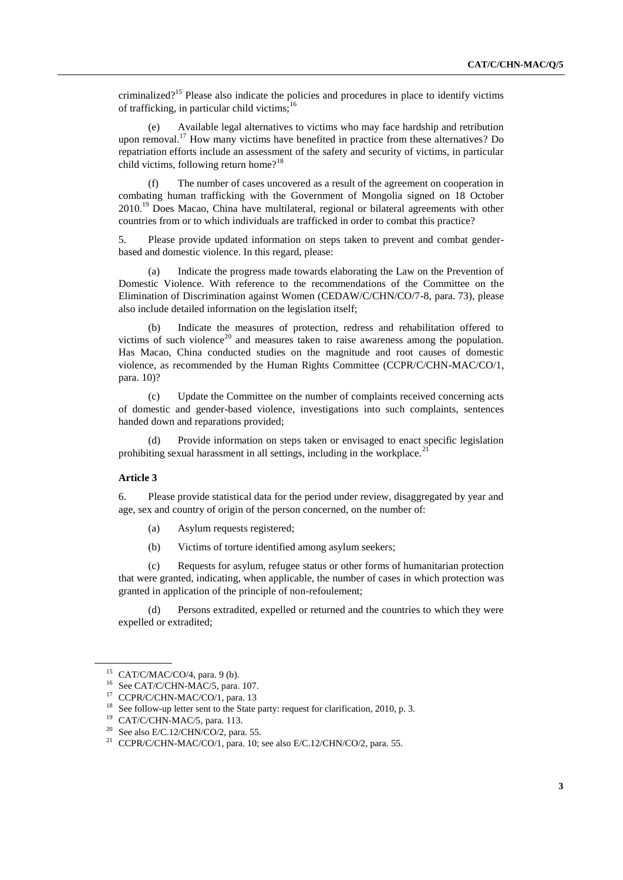criminalized?<sup>15</sup> Please also indicate the policies and procedures in place to identify victims of trafficking, in particular child victims; $^{16}$ 

(e) Available legal alternatives to victims who may face hardship and retribution upon removal.<sup>17</sup> How many victims have benefited in practice from these alternatives? Do repatriation efforts include an assessment of the safety and security of victims, in particular child victims, following return home?<sup>18</sup>

(f) The number of cases uncovered as a result of the agreement on cooperation in combating human trafficking with the Government of Mongolia signed on 18 October  $2010<sup>19</sup>$  Does Macao, China have multilateral, regional or bilateral agreements with other countries from or to which individuals are trafficked in order to combat this practice?

5. Please provide updated information on steps taken to prevent and combat genderbased and domestic violence. In this regard, please:

(a) Indicate the progress made towards elaborating the Law on the Prevention of Domestic Violence. With reference to the recommendations of the Committee on the Elimination of Discrimination against Women (CEDAW/C/CHN/CO/7-8, para. 73), please also include detailed information on the legislation itself;

(b) Indicate the measures of protection, redress and rehabilitation offered to victims of such violence<sup>20</sup> and measures taken to raise awareness among the population. Has Macao, China conducted studies on the magnitude and root causes of domestic violence, as recommended by the Human Rights Committee (CCPR/C/CHN-MAC/CO/1, para. 10)?

(c) Update the Committee on the number of complaints received concerning acts of domestic and gender-based violence, investigations into such complaints, sentences handed down and reparations provided;

Provide information on steps taken or envisaged to enact specific legislation prohibiting sexual harassment in all settings, including in the workplace.<sup>2</sup>

### **Article 3**

6. Please provide statistical data for the period under review, disaggregated by year and age, sex and country of origin of the person concerned, on the number of:

- (a) Asylum requests registered;
- (b) Victims of torture identified among asylum seekers;

(c) Requests for asylum, refugee status or other forms of humanitarian protection that were granted, indicating, when applicable, the number of cases in which protection was granted in application of the principle of non-refoulement;

(d) Persons extradited, expelled or returned and the countries to which they were expelled or extradited;

<sup>&</sup>lt;sup>15</sup> CAT/C/MAC/CO/4, para. 9 (b).

<sup>&</sup>lt;sup>16</sup> See CAT/C/CHN-MAC/5, para. 107.

<sup>&</sup>lt;sup>17</sup> CCPR/C/CHN-MAC/CO/1, para. 13

<sup>&</sup>lt;sup>18</sup> See follow-up letter sent to the State party: request for clarification, 2010, p. 3.

<sup>19</sup> CAT/C/CHN-MAC/5, para. 113.

 $20$  See also E/C.12/CHN/CO/2, para. 55.

<sup>&</sup>lt;sup>21</sup> CCPR/C/CHN-MAC/CO/1, para. 10; see also E/C.12/CHN/CO/2, para. 55.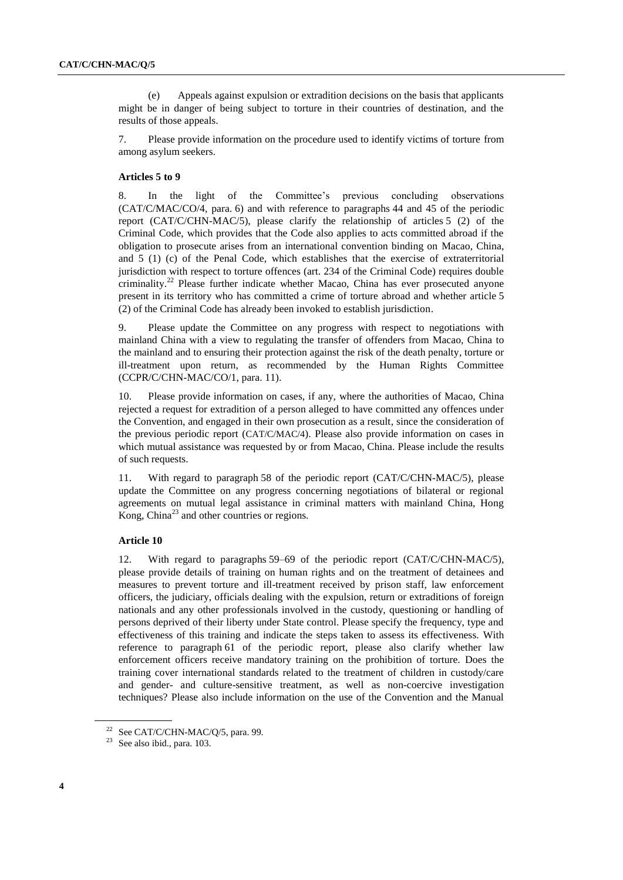(e) Appeals against expulsion or extradition decisions on the basis that applicants might be in danger of being subject to torture in their countries of destination, and the results of those appeals.

7. Please provide information on the procedure used to identify victims of torture from among asylum seekers.

### **Articles 5 to 9**

8. In the light of the Committee's previous concluding observations (CAT/C/MAC/CO/4, para. 6) and with reference to paragraphs 44 and 45 of the periodic report (CAT/C/CHN-MAC/5), please clarify the relationship of articles 5 (2) of the Criminal Code, which provides that the Code also applies to acts committed abroad if the obligation to prosecute arises from an international convention binding on Macao, China, and 5 (1) (c) of the Penal Code, which establishes that the exercise of extraterritorial jurisdiction with respect to torture offences (art. 234 of the Criminal Code) requires double  $c$ riminality.<sup>22</sup> Please further indicate whether Macao, China has ever prosecuted anyone present in its territory who has committed a crime of torture abroad and whether article 5 (2) of the Criminal Code has already been invoked to establish jurisdiction.

9. Please update the Committee on any progress with respect to negotiations with mainland China with a view to regulating the transfer of offenders from Macao, China to the mainland and to ensuring their protection against the risk of the death penalty, torture or ill-treatment upon return, as recommended by the Human Rights Committee (CCPR/C/CHN-MAC/CO/1, para. 11).

Please provide information on cases, if any, where the authorities of Macao, China rejected a request for extradition of a person alleged to have committed any offences under the Convention, and engaged in their own prosecution as a result, since the consideration of the previous periodic report (CAT/C/MAC/4). Please also provide information on cases in which mutual assistance was requested by or from Macao, China. Please include the results of such requests.

11. With regard to paragraph 58 of the periodic report (CAT/C/CHN-MAC/5), please update the Committee on any progress concerning negotiations of bilateral or regional agreements on mutual legal assistance in criminal matters with mainland China, Hong Kong, China<sup>23</sup> and other countries or regions.

#### **Article 10**

12. With regard to paragraphs 59–69 of the periodic report (CAT/C/CHN-MAC/5), please provide details of training on human rights and on the treatment of detainees and measures to prevent torture and ill-treatment received by prison staff, law enforcement officers, the judiciary, officials dealing with the expulsion, return or extraditions of foreign nationals and any other professionals involved in the custody, questioning or handling of persons deprived of their liberty under State control. Please specify the frequency, type and effectiveness of this training and indicate the steps taken to assess its effectiveness. With reference to paragraph 61 of the periodic report, please also clarify whether law enforcement officers receive mandatory training on the prohibition of torture. Does the training cover international standards related to the treatment of children in custody/care and gender- and culture-sensitive treatment, as well as non-coercive investigation techniques? Please also include information on the use of the Convention and the Manual

<sup>&</sup>lt;sup>22</sup> See CAT/C/CHN-MAC/Q/5, para. 99.

<sup>23</sup> See also ibid., para. 103.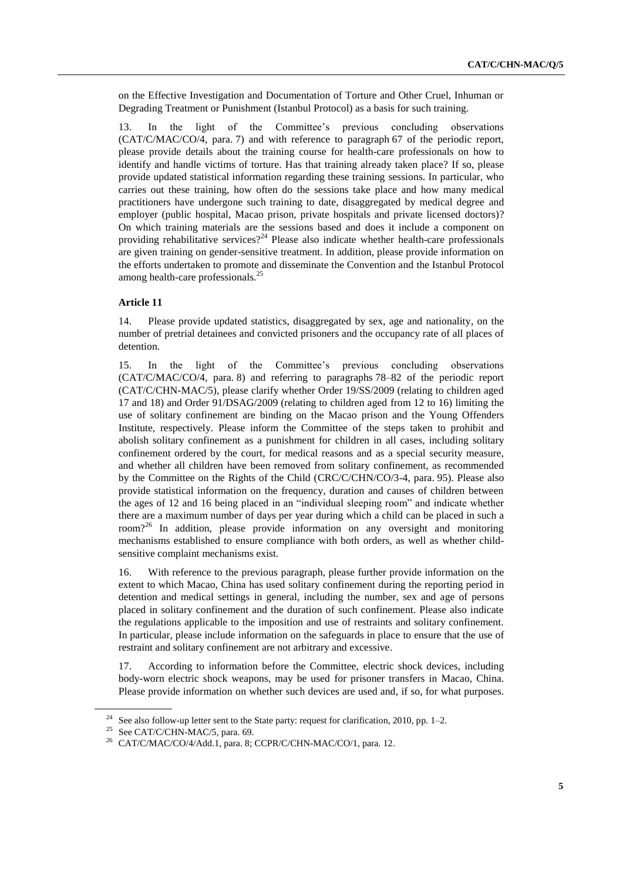on the Effective Investigation and Documentation of Torture and Other Cruel, Inhuman or Degrading Treatment or Punishment (Istanbul Protocol) as a basis for such training.

13. In the light of the Committee's previous concluding observations (CAT/C/MAC/CO/4, para. 7) and with reference to paragraph 67 of the periodic report, please provide details about the training course for health-care professionals on how to identify and handle victims of torture. Has that training already taken place? If so, please provide updated statistical information regarding these training sessions. In particular, who carries out these training, how often do the sessions take place and how many medical practitioners have undergone such training to date, disaggregated by medical degree and employer (public hospital, Macao prison, private hospitals and private licensed doctors)? On which training materials are the sessions based and does it include a component on providing rehabilitative services?<sup>24</sup> Please also indicate whether health-care professionals are given training on gender-sensitive treatment. In addition, please provide information on the efforts undertaken to promote and disseminate the Convention and the Istanbul Protocol among health-care professionals.<sup>25</sup>

### **Article 11**

14. Please provide updated statistics, disaggregated by sex, age and nationality, on the number of pretrial detainees and convicted prisoners and the occupancy rate of all places of detention.

15. In the light of the Committee's previous concluding observations (CAT/C/MAC/CO/4, para. 8) and referring to paragraphs 78–82 of the periodic report (CAT/C/CHN-MAC/5), please clarify whether Order 19/SS/2009 (relating to children aged 17 and 18) and Order 91/DSAG/2009 (relating to children aged from 12 to 16) limiting the use of solitary confinement are binding on the Macao prison and the Young Offenders Institute, respectively. Please inform the Committee of the steps taken to prohibit and abolish solitary confinement as a punishment for children in all cases, including solitary confinement ordered by the court, for medical reasons and as a special security measure, and whether all children have been removed from solitary confinement, as recommended by the Committee on the Rights of the Child (CRC/C/CHN/CO/3-4, para. 95). Please also provide statistical information on the frequency, duration and causes of children between the ages of 12 and 16 being placed in an "individual sleeping room" and indicate whether there are a maximum number of days per year during which a child can be placed in such a room?<sup>26</sup> In addition, please provide information on any oversight and monitoring mechanisms established to ensure compliance with both orders, as well as whether childsensitive complaint mechanisms exist.

16. With reference to the previous paragraph, please further provide information on the extent to which Macao, China has used solitary confinement during the reporting period in detention and medical settings in general, including the number, sex and age of persons placed in solitary confinement and the duration of such confinement. Please also indicate the regulations applicable to the imposition and use of restraints and solitary confinement. In particular, please include information on the safeguards in place to ensure that the use of restraint and solitary confinement are not arbitrary and excessive.

17. According to information before the Committee, electric shock devices, including body-worn electric shock weapons, may be used for prisoner transfers in Macao, China. Please provide information on whether such devices are used and, if so, for what purposes.

<sup>&</sup>lt;sup>24</sup> See also follow-up letter sent to the State party: request for clarification, 2010, pp. 1-2.

<sup>&</sup>lt;sup>25</sup> See CAT/C/CHN-MAC/5, para. 69.

<sup>26</sup> CAT/C/MAC/CO/4/Add.1, para. 8; CCPR/C/CHN-MAC/CO/1, para. 12.